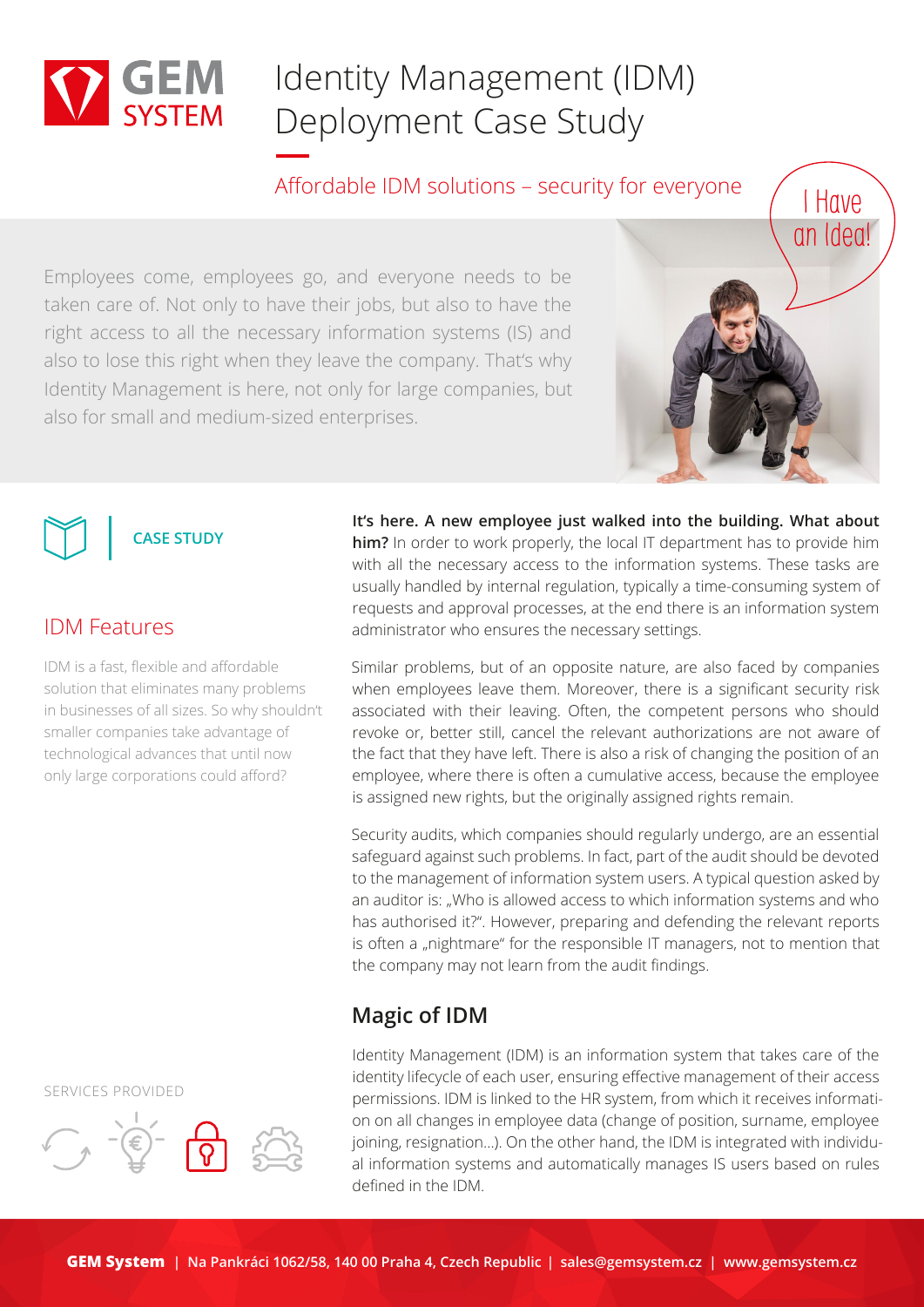

# Identity Management (IDM) Deployment Case Study

Affordable IDM solutions – security for everyone

Employees come, employees go, and everyone needs to be taken care of. Not only to have their jobs, but also to have the right access to all the necessary information systems (IS) and also to lose this right when they leave the company. That's why Identity Management is here, not only for large companies, but also for small and medium-sized enterprises.



**CASE STUDY**

### IDM Features

IDM is a fast, flexible and affordable solution that eliminates many problems in businesses of all sizes. So why shouldn't smaller companies take advantage of technological advances that until now only large corporations could afford?

**It's here. A new employee just walked into the building. What about him?** In order to work properly, the local IT department has to provide him with all the necessary access to the information systems. These tasks are usually handled by internal regulation, typically a time-consuming system of requests and approval processes, at the end there is an information system administrator who ensures the necessary settings.

Similar problems, but of an opposite nature, are also faced by companies when employees leave them. Moreover, there is a significant security risk associated with their leaving. Often, the competent persons who should revoke or, better still, cancel the relevant authorizations are not aware of the fact that they have left. There is also a risk of changing the position of an employee, where there is often a cumulative access, because the employee is assigned new rights, but the originally assigned rights remain.

Security audits, which companies should regularly undergo, are an essential safeguard against such problems. In fact, part of the audit should be devoted to the management of information system users. A typical question asked by an auditor is: "Who is allowed access to which information systems and who has authorised it?". However, preparing and defending the relevant reports is often a "nightmare" for the responsible IT managers, not to mention that the company may not learn from the audit findings.

## **Magic of IDM**

Identity Management (IDM) is an information system that takes care of the identity lifecycle of each user, ensuring effective management of their access permissions. IDM is linked to the HR system, from which it receives information on all changes in employee data (change of position, surname, employee joining, resignation...). On the other hand, the IDM is integrated with individual information systems and automatically manages IS users based on rules defined in the IDM.

SERVICES PROVIDED